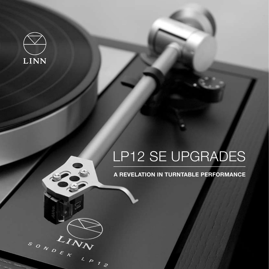

 $\epsilon$ 

# LP12 SE UPGRADES

**A REVELATION IN TURNTABLE PERFORMANCE**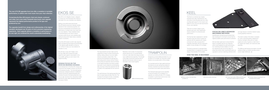**The new LP12 SE upgrades from Linn offer a revelation in turntable performance, to deliver even more music from your vinyl collection.** 

**Comprising the Ekos SE tonearm, Keel sub-chassis, armboard and collar, and a new metal Trampolin base board, each upgrade represents the highest performance product of its type ever produced by Linn.** 

**The upgrades benefit from design and craftsmanship of the highest standard, developed over 35 years of Linn's precision engineering experience. Each upgrade delivers a revelation in performance in its own right, but combined the result is absolutely breathtaking.**



Ekos SE is Linn's flagship tonearm, designed to nurture your vinyl and extract the maximum information from your cherished vinyl collection.

Setting a new performance benchmark, Ekos SE features advanced materials carefully selected for their mechanical properties, low resonance characteristics and ultimate sound performance, to extract even more music from your vinyl collection. These materials include a machined titanium arm tube to reduce resonance within the arm and a stainless steel bearing housing which helps reduce unwanted tonearm movements.

In the development of the Ekos SE virtually every component has changed, however we will focus on the bearing housing. The horizontal bearing housing has undergone extensive modification, however the primary engineering goals have remained the same; the bearing assembly must be very rigid, resonance free, temperature stable and free from play whilst maintaining extremely low levels of friction.



It is manufactured from high quality aluminium and features acoustic dampening material to minimise unwanted movement and vibration to provide an even better audio performance.

Every Ekos SE tonearm is built to last using the latest manufacturing techniques and handcrafted to the highest quality standard, so that you can continue to enjoy your vinyl collection for decades to come.

Ekos SE also comes with T-Kable, Linn's low-loss cable which protects the audio signal the audio signal in transmission to the pre-amplifier, getting you even closer to the original recording.

#### **DESIGN FOCUS ON THE EKOS SE BEARING HOUSING**

Reduction in the number of components<br>
ensures that the arm is mounted directly<br>  $TRAMPOLIN$ ensures that the arm is mounted directly to the arm collar rather than being mounted via an additional tube assembly. The strength of the single component avoids the risk of distortion and ensures minimum loss of information when locked together.



Designed to provide additional isolation for your Sondek LP12 turntable, the Trampolin is fitted directly to the wooden plinth of the turntable.

The Trampolin base board can be specified on all new Sondek LP12 turntables or to upgrade your existing Sondek LP12, bringing a revelation in performance and an even more involving musical experience.

The improvements we have made over the original Ekos tonearm include machining the bearing mating surfaces to an even higher tolerance and better surface finish. This improves the fit between the bearings and the housing which ensures minimum friction. All mounting and assembly holes are finished to the highest standards and where possible have been moved outside the central bearing area, ensuring a stress free assembly that will not distort once assembled into the main arm unit.

The wall thickness of the bearing assembly has been increased approximately three fold. This increases the strength and also considerably reduces resonance throughout the arm.

## EKOS SE

n *Ekos SE bearing housing*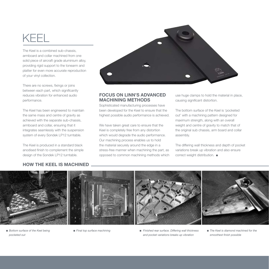### KEEL

The Keel is a combined sub-chassis, armboard and collar machined from one solid piece of aircraft grade aluminium alloy. providing rigid support to the tonearm and platter for even more accurate reproduction of your vinyl collection.

There are no screws, fixings or joins between each part, which significantly reduces vibration for enhanced audio performance.

The Keel has been engineered to maintain the same mass and centre of gravity as achieved with the separate sub-chassis, armboard and collar, ensuring that it integrates seamlessly with the suspension system of every Sondek LP12 turntable.

The Keel is produced in a standard black anodised finish to complement the simple design of the Sondek LP12 turntable.



### **FOCUS ON LINN'S ADVANCED MACHINING METHODS**

Sophisticated manufacturing processes have been developed for the Keel to ensure that the highest possible audio performance is achieved.

We have taken great care to ensure that the Keel is completely free from any distortion which would degrade the audio performance. Our machining process enables us to hold the material securely around the edge in a stress-free manner when machining the part, as opposed to common machining methods which use huge clamps to hold the material in place, causing significant distortion.

The bottom surface of the Keel is 'pocketed out' with a machining pattern designed for maximum strength, along with an overall weight and centre of gravity to match that of the original sub chassis, arm board and collar assembly.

The differing wall thickness and depth of pocket variations break up vibration and also ensure correct weight distribution.  $\blacksquare$ 

#### **HOW THE KEEL IS MACHINED**



■ *Bottom surface of the Keel being* **n n n** *Final top surface machining pocketed out*



■ *Finished rear surface. Differing wall thickness and pocket variations breaks up vibration*



■ *The Keel is diamond machined for the smoothest finish possible*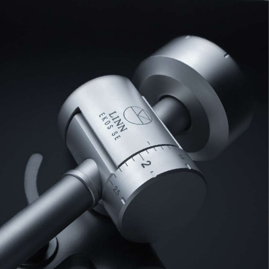